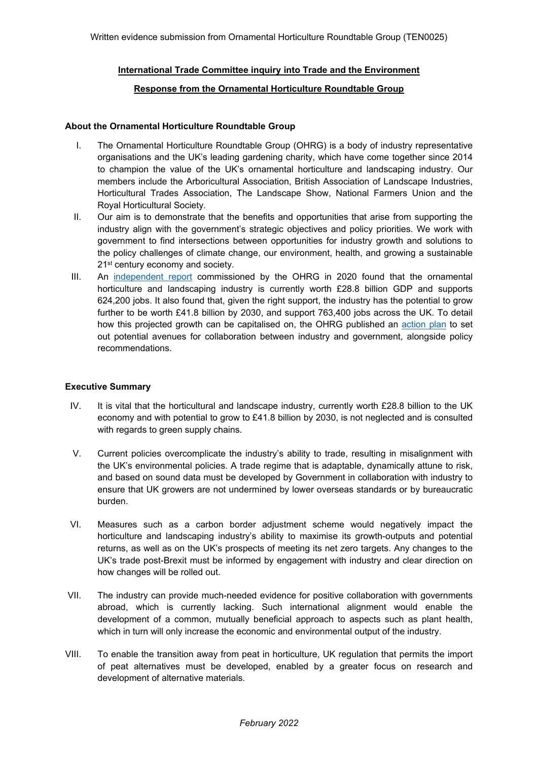## **International Trade Committee inquiry into Trade and the Environment**

#### **Response from the Ornamental Horticulture Roundtable Group**

#### **About the Ornamental Horticulture Roundtable Group**

- I. The Ornamental Horticulture Roundtable Group (OHRG) is a body of industry representative organisations and the UK's leading gardening charity, which have come together since 2014 to champion the value of the UK's ornamental horticulture and landscaping industry. Our members include the Arboricultural Association, British Association of Landscape Industries, Horticultural Trades Association, The Landscape Show, National Farmers Union and the Royal Horticultural Society.
- II. Our aim is to demonstrate that the benefits and opportunities that arise from supporting the industry align with the government's strategic objectives and policy priorities. We work with government to find intersections between opportunities for industry growth and solutions to the policy challenges of climate change, our environment, health, and growing a sustainable 21<sup>st</sup> century economy and society.
- III. An [independent](https://whitehousecomms.com/wp-content/uploads/2021/09/Growing-a-Green-Economy-The-importance-of-ornamental-horticulture-and-landscaping-to-the-UK-1.pdf) [report](https://whitehousecomms.com/wp-content/uploads/2021/09/Growing-a-Green-Economy-The-importance-of-ornamental-horticulture-and-landscaping-to-the-UK-1.pdf) commissioned by the OHRG in 2020 found that the ornamental horticulture and landscaping industry is currently worth £28.8 billion GDP and supports 624,200 jobs. It also found that, given the right support, the industry has the potential to grow further to be worth £41.8 billion by 2030, and support 763,400 jobs across the UK. To detail how this projected growth can be capitalised on, the OHRG published an [action](https://whitehousecomms.com/wp-content/uploads/2021/09/Unlocking-green-growth-A-plan-for-the-ornamental-horticulture-and-landscaping-industry-1.pdf) [plan](https://whitehousecomms.com/wp-content/uploads/2021/09/Unlocking-green-growth-A-plan-for-the-ornamental-horticulture-and-landscaping-industry-1.pdf) to set out potential avenues for collaboration between industry and government, alongside policy recommendations.

## **Executive Summary**

- IV. It is vital that the horticultural and landscape industry, currently worth £28.8 billion to the UK economy and with potential to grow to £41.8 billion by 2030, is not neglected and is consulted with regards to green supply chains.
- V. Current policies overcomplicate the industry's ability to trade, resulting in misalignment with the UK's environmental policies. A trade regime that is adaptable, dynamically attune to risk, and based on sound data must be developed by Government in collaboration with industry to ensure that UK growers are not undermined by lower overseas standards or by bureaucratic burden.
- VI. Measures such as a carbon border adjustment scheme would negatively impact the horticulture and landscaping industry's ability to maximise its growth-outputs and potential returns, as well as on the UK's prospects of meeting its net zero targets. Any changes to the UK's trade post-Brexit must be informed by engagement with industry and clear direction on how changes will be rolled out.
- VII. The industry can provide much-needed evidence for positive collaboration with governments abroad, which is currently lacking. Such international alignment would enable the development of a common, mutually beneficial approach to aspects such as plant health, which in turn will only increase the economic and environmental output of the industry.
- VIII. To enable the transition away from peat in horticulture, UK regulation that permits the import of peat alternatives must be developed, enabled by a greater focus on research and development of alternative materials.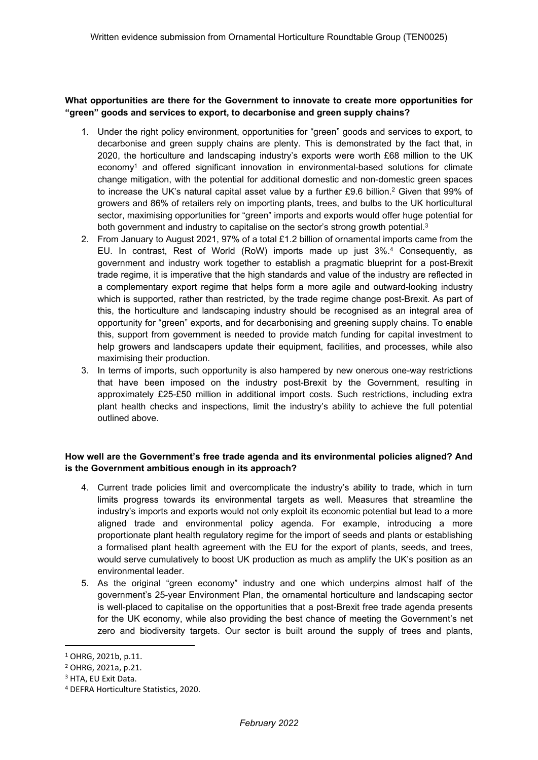**What opportunities are there for the Government to innovate to create more opportunities for "green" goods and services to export, to decarbonise and green supply chains?**

- 1. Under the right policy environment, opportunities for "green" goods and services to export, to decarbonise and green supply chains are plenty. This is demonstrated by the fact that, in 2020, the horticulture and landscaping industry's exports were worth £68 million to the UK economy<sup>1</sup> and offered significant innovation in environmental-based solutions for climate change mitigation, with the potential for additional domestic and non-domestic green spaces to increase the UK's natural capital asset value by a further £9.6 billion.<sup>2</sup> Given that 99% of growers and 86% of retailers rely on importing plants, trees, and bulbs to the UK horticultural sector, maximising opportunities for "green" imports and exports would offer huge potential for both government and industry to capitalise on the sector's strong growth potential.<sup>3</sup>
- 2. From January to August 2021, 97% of a total £1.2 billion of ornamental imports came from the EU. In contrast, Rest of World (RoW) imports made up just 3%.<sup>4</sup> Consequently, as government and industry work together to establish a pragmatic blueprint for a post-Brexit trade regime, it is imperative that the high standards and value of the industry are reflected in a complementary export regime that helps form a more agile and outward-looking industry which is supported, rather than restricted, by the trade regime change post-Brexit. As part of this, the horticulture and landscaping industry should be recognised as an integral area of opportunity for "green" exports, and for decarbonising and greening supply chains. To enable this, support from government is needed to provide match funding for capital investment to help growers and landscapers update their equipment, facilities, and processes, while also maximising their production.
- 3. In terms of imports, such opportunity is also hampered by new onerous one-way restrictions that have been imposed on the industry post-Brexit by the Government, resulting in approximately £25-£50 million in additional import costs. Such restrictions, including extra plant health checks and inspections, limit the industry's ability to achieve the full potential outlined above.

# **How well are the Government's free trade agenda and its environmental policies aligned? And is the Government ambitious enough in its approach?**

- 4. Current trade policies limit and overcomplicate the industry's ability to trade, which in turn limits progress towards its environmental targets as well. Measures that streamline the industry's imports and exports would not only exploit its economic potential but lead to a more aligned trade and environmental policy agenda. For example, introducing a more proportionate plant health regulatory regime for the import of seeds and plants or establishing a formalised plant health agreement with the EU for the export of plants, seeds, and trees, would serve cumulatively to boost UK production as much as amplify the UK's position as an environmental leader.
- 5. As the original "green economy" industry and one which underpins almost half of the government's 25-year Environment Plan, the ornamental horticulture and landscaping sector is well-placed to capitalise on the opportunities that a post-Brexit free trade agenda presents for the UK economy, while also providing the best chance of meeting the Government's net zero and biodiversity targets. Our sector is built around the supply of trees and plants,

<sup>1</sup> OHRG, 2021b, p.11.

<sup>2</sup> OHRG, 2021a, p.21.

<sup>3</sup> HTA, EU Exit Data.

<sup>4</sup> DEFRA Horticulture Statistics, 2020.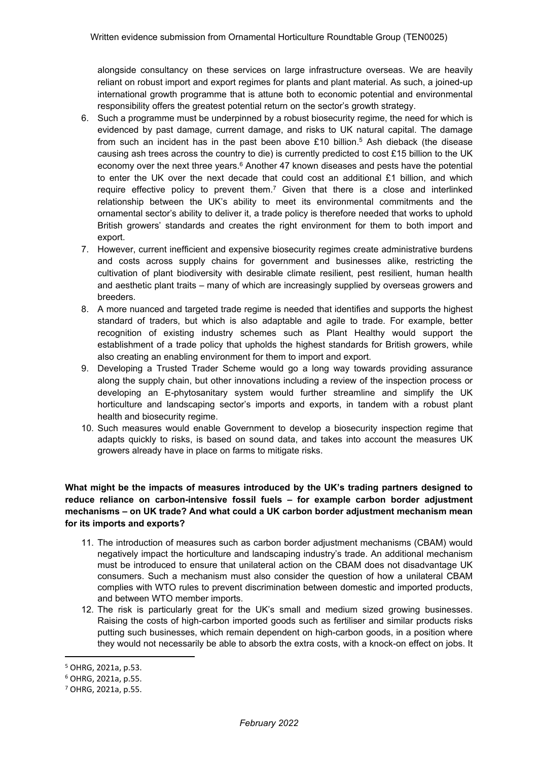alongside consultancy on these services on large infrastructure overseas. We are heavily reliant on robust import and export regimes for plants and plant material. As such, a joined-up international growth programme that is attune both to economic potential and environmental responsibility offers the greatest potential return on the sector's growth strategy.

- 6. Such a programme must be underpinned by a robust biosecurity regime, the need for which is evidenced by past damage, current damage, and risks to UK natural capital. The damage from such an incident has in the past been above £10 billion.<sup>5</sup> Ash dieback (the disease causing ash trees across the country to die) is currently predicted to cost £15 billion to the UK economy over the next three years.<sup>6</sup> Another 47 known diseases and pests have the potential to enter the UK over the next decade that could cost an additional £1 billion, and which require effective policy to prevent them.<sup>7</sup> Given that there is a close and interlinked relationship between the UK's ability to meet its environmental commitments and the ornamental sector's ability to deliver it, a trade policy is therefore needed that works to uphold British growers' standards and creates the right environment for them to both import and export.
- 7. However, current inefficient and expensive biosecurity regimes create administrative burdens and costs across supply chains for government and businesses alike, restricting the cultivation of plant biodiversity with desirable climate resilient, pest resilient, human health and aesthetic plant traits – many of which are increasingly supplied by overseas growers and breeders.
- 8. A more nuanced and targeted trade regime is needed that identifies and supports the highest standard of traders, but which is also adaptable and agile to trade. For example, better recognition of existing industry schemes such as Plant Healthy would support the establishment of a trade policy that upholds the highest standards for British growers, while also creating an enabling environment for them to import and export.
- 9. Developing a Trusted Trader Scheme would go a long way towards providing assurance along the supply chain, but other innovations including a review of the inspection process or developing an E-phytosanitary system would further streamline and simplify the UK horticulture and landscaping sector's imports and exports, in tandem with a robust plant health and biosecurity regime.
- 10. Such measures would enable Government to develop a biosecurity inspection regime that adapts quickly to risks, is based on sound data, and takes into account the measures UK growers already have in place on farms to mitigate risks.

# **What might be the impacts of measures introduced by the UK's trading partners designed to reduce reliance on carbon-intensive fossil fuels – for example carbon border adjustment mechanisms – on UK trade? And what could a UK carbon border adjustment mechanism mean for its imports and exports?**

- 11. The introduction of measures such as carbon border adjustment mechanisms (CBAM) would negatively impact the horticulture and landscaping industry's trade. An additional mechanism must be introduced to ensure that unilateral action on the CBAM does not disadvantage UK consumers. Such a mechanism must also consider the question of how a unilateral CBAM complies with WTO rules to prevent discrimination between domestic and imported products, and between WTO member imports.
- 12. The risk is particularly great for the UK's small and medium sized growing businesses. Raising the costs of high-carbon imported goods such as fertiliser and similar products risks putting such businesses, which remain dependent on high-carbon goods, in a position where they would not necessarily be able to absorb the extra costs, with a knock-on effect on jobs. It

<sup>5</sup> OHRG, 2021a, p.53.

<sup>6</sup> OHRG, 2021a, p.55.

<sup>7</sup> OHRG, 2021a, p.55.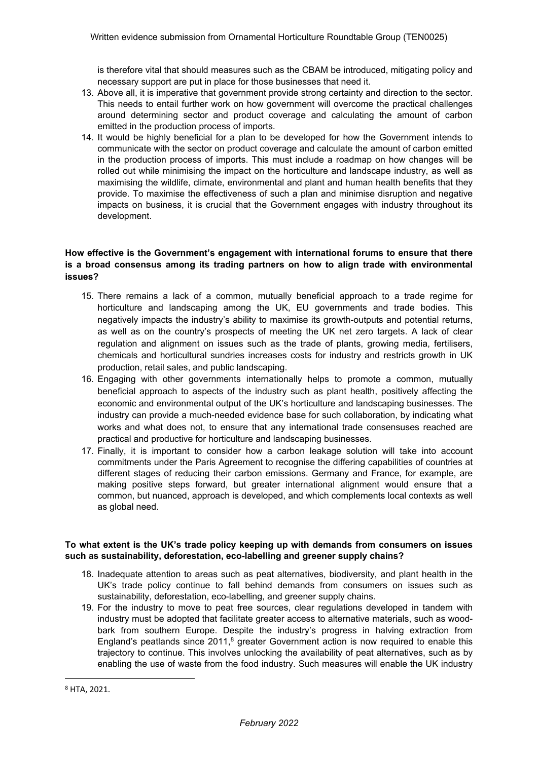is therefore vital that should measures such as the CBAM be introduced, mitigating policy and necessary support are put in place for those businesses that need it.

- 13. Above all, it is imperative that government provide strong certainty and direction to the sector. This needs to entail further work on how government will overcome the practical challenges around determining sector and product coverage and calculating the amount of carbon emitted in the production process of imports.
- 14. It would be highly beneficial for a plan to be developed for how the Government intends to communicate with the sector on product coverage and calculate the amount of carbon emitted in the production process of imports. This must include a roadmap on how changes will be rolled out while minimising the impact on the horticulture and landscape industry, as well as maximising the wildlife, climate, environmental and plant and human health benefits that they provide. To maximise the effectiveness of such a plan and minimise disruption and negative impacts on business, it is crucial that the Government engages with industry throughout its development.

# **How effective is the Government's engagement with international forums to ensure that there is a broad consensus among its trading partners on how to align trade with environmental issues?**

- 15. There remains a lack of a common, mutually beneficial approach to a trade regime for horticulture and landscaping among the UK, EU governments and trade bodies. This negatively impacts the industry's ability to maximise its growth-outputs and potential returns, as well as on the country's prospects of meeting the UK net zero targets. A lack of clear regulation and alignment on issues such as the trade of plants, growing media, fertilisers, chemicals and horticultural sundries increases costs for industry and restricts growth in UK production, retail sales, and public landscaping.
- 16. Engaging with other governments internationally helps to promote a common, mutually beneficial approach to aspects of the industry such as plant health, positively affecting the economic and environmental output of the UK's horticulture and landscaping businesses. The industry can provide a much-needed evidence base for such collaboration, by indicating what works and what does not, to ensure that any international trade consensuses reached are practical and productive for horticulture and landscaping businesses.
- 17. Finally, it is important to consider how a carbon leakage solution will take into account commitments under the Paris Agreement to recognise the differing capabilities of countries at different stages of reducing their carbon emissions. Germany and France, for example, are making positive steps forward, but greater international alignment would ensure that a common, but nuanced, approach is developed, and which complements local contexts as well as global need.

## **To what extent is the UK's trade policy keeping up with demands from consumers on issues such as sustainability, deforestation, eco-labelling and greener supply chains?**

- 18. Inadequate attention to areas such as peat alternatives, biodiversity, and plant health in the UK's trade policy continue to fall behind demands from consumers on issues such as sustainability, deforestation, eco-labelling, and greener supply chains.
- 19. For the industry to move to peat free sources, clear regulations developed in tandem with industry must be adopted that facilitate greater access to alternative materials, such as woodbark from southern Europe. Despite the industry's progress in halving extraction from England's peatlands since  $2011$ ,<sup>8</sup> greater Government action is now required to enable this trajectory to continue. This involves unlocking the availability of peat alternatives, such as by enabling the use of waste from the food industry. Such measures will enable the UK industry

<sup>8</sup> HTA, 2021.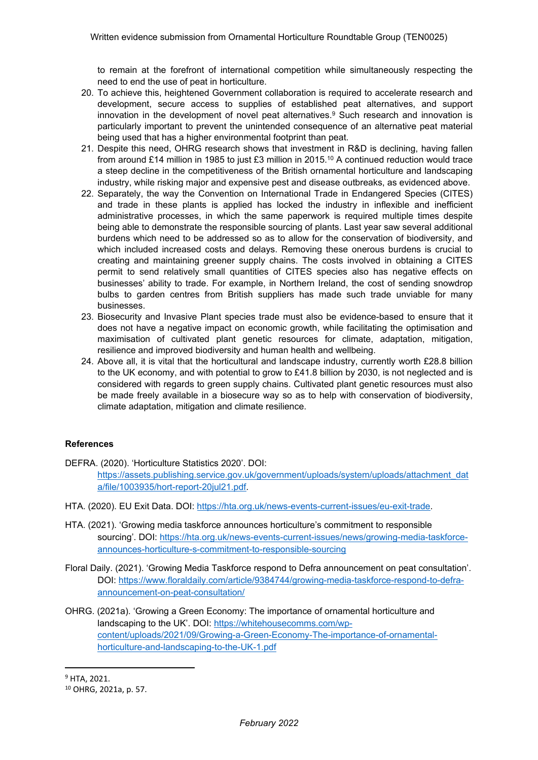to remain at the forefront of international competition while simultaneously respecting the need to end the use of peat in horticulture.

- 20. To achieve this, heightened Government collaboration is required to accelerate research and development, secure access to supplies of established peat alternatives, and support innovation in the development of novel peat alternatives.<sup>9</sup> Such research and innovation is particularly important to prevent the unintended consequence of an alternative peat material being used that has a higher environmental footprint than peat.
- 21. Despite this need, OHRG research shows that investment in R&D is declining, having fallen from around £14 million in 1985 to just £3 million in 2015.<sup>10</sup> A continued reduction would trace a steep decline in the competitiveness of the British ornamental horticulture and landscaping industry, while risking major and expensive pest and disease outbreaks, as evidenced above.
- 22. Separately, the way the Convention on International Trade in Endangered Species (CITES) and trade in these plants is applied has locked the industry in inflexible and inefficient administrative processes, in which the same paperwork is required multiple times despite being able to demonstrate the responsible sourcing of plants. Last year saw several additional burdens which need to be addressed so as to allow for the conservation of biodiversity, and which included increased costs and delays. Removing these onerous burdens is crucial to creating and maintaining greener supply chains. The costs involved in obtaining a CITES permit to send relatively small quantities of CITES species also has negative effects on businesses' ability to trade. For example, in Northern Ireland, the cost of sending snowdrop bulbs to garden centres from British suppliers has made such trade unviable for many businesses.
- 23. Biosecurity and Invasive Plant species trade must also be evidence-based to ensure that it does not have a negative impact on economic growth, while facilitating the optimisation and maximisation of cultivated plant genetic resources for climate, adaptation, mitigation, resilience and improved biodiversity and human health and wellbeing.
- 24. Above all, it is vital that the horticultural and landscape industry, currently worth £28.8 billion to the UK economy, and with potential to grow to £41.8 billion by 2030, is not neglected and is considered with regards to green supply chains. Cultivated plant genetic resources must also be made freely available in a biosecure way so as to help with conservation of biodiversity, climate adaptation, mitigation and climate resilience.

## **References**

DEFRA. (2020). 'Horticulture Statistics 2020'. DOI:

[https://assets.publishing.service.gov.uk/government/uploads/system/uploads/attachment\\_dat](https://assets.publishing.service.gov.uk/government/uploads/system/uploads/attachment_data/file/1003935/hort-report-20jul21.pdf) [a/file/1003935/hort-report-20jul21.pdf.](https://assets.publishing.service.gov.uk/government/uploads/system/uploads/attachment_data/file/1003935/hort-report-20jul21.pdf)

- HTA. (2020). EU Exit Data. DOI: [https://hta.org.uk/news-events-current-issues/eu-exit-trade.](https://hta.org.uk/news-events-current-issues/eu-exit-trade)
- HTA. (2021). 'Growing media taskforce announces horticulture's commitment to responsible sourcing'. DOI: [https://hta.org.uk/news-events-current-issues/news/growing-media-taskforce](https://hta.org.uk/news-events-current-issues/news/growing-media-taskforce-announces-horticulture-s-commitment-to-responsible-sourcing)[announces-horticulture-s-commitment-to-responsible-sourcing](https://hta.org.uk/news-events-current-issues/news/growing-media-taskforce-announces-horticulture-s-commitment-to-responsible-sourcing)
- Floral Daily. (2021). 'Growing Media Taskforce respond to Defra announcement on peat consultation'. DOI: [https://www.floraldaily.com/article/9384744/growing-media-taskforce-respond-to-defra](https://www.floraldaily.com/article/9384744/growing-media-taskforce-respond-to-defra-announcement-on-peat-consultation/)[announcement-on-peat-consultation/](https://www.floraldaily.com/article/9384744/growing-media-taskforce-respond-to-defra-announcement-on-peat-consultation/)
- OHRG. (2021a). 'Growing a Green Economy: The importance of ornamental horticulture and landscaping to the UK'. DOI: [https://whitehousecomms.com/wp](https://whitehousecomms.com/wp-content/uploads/2021/09/Growing-a-Green-Economy-The-importance-of-ornamental-horticulture-and-landscaping-to-the-UK-1.pdf)[content/uploads/2021/09/Growing-a-Green-Economy-The-importance-of-ornamental](https://whitehousecomms.com/wp-content/uploads/2021/09/Growing-a-Green-Economy-The-importance-of-ornamental-horticulture-and-landscaping-to-the-UK-1.pdf)[horticulture-and-landscaping-to-the-UK-1.pdf](https://whitehousecomms.com/wp-content/uploads/2021/09/Growing-a-Green-Economy-The-importance-of-ornamental-horticulture-and-landscaping-to-the-UK-1.pdf)

<sup>9</sup> HTA, 2021.

<sup>10</sup> OHRG, 2021a, p. 57.